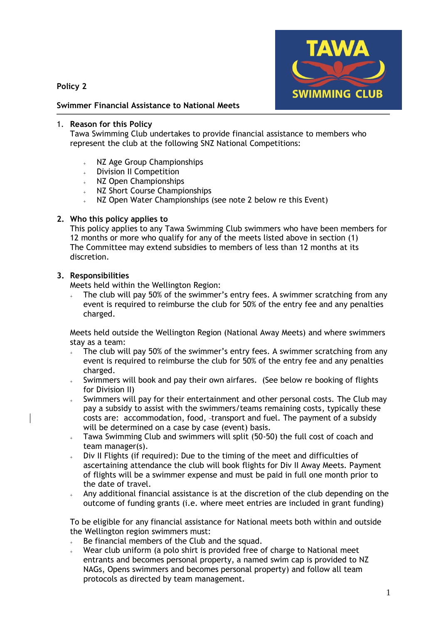**Policy 2**



# **Swimmer Financial Assistance to National Meets**

## 1. **Reason for this Policy**

Tawa Swimming Club undertakes to provide financial assistance to members who represent the club at the following SNZ National Competitions:

- NZ Age Group Championships
- Division II Competition
- NZ Open Championships
- NZ Short Course Championships
- NZ Open Water Championships (see note 2 below re this Event)

### **2. Who this policy applies to**

This policy applies to any Tawa Swimming Club swimmers who have been members for 12 months or more who qualify for any of the meets listed above in section (1) The Committee may extend subsidies to members of less than 12 months at its discretion.

### **3. Responsibilities**

Meets held within the Wellington Region:

 The club will pay 50% of the swimmer's entry fees. A swimmer scratching from any event is required to reimburse the club for 50% of the entry fee and any penalties charged.

Meets held outside the Wellington Region (National Away Meets) and where swimmers stay as a team:

- The club will pay 50% of the swimmer's entry fees. A swimmer scratching from any event is required to reimburse the club for 50% of the entry fee and any penalties charged.
- Swimmers will book and pay their own airfares. (See below re booking of flights for Division II)
- Swimmers will pay for their entertainment and other personal costs. The Club may pay a subsidy to assist with the swimmers/teams remaining costs, typically these costs are: accommodation, food, transport and fuel. The payment of a subsidy will be determined on a case by case (event) basis.
- Tawa Swimming Club and swimmers will split (50-50) the full cost of coach and team manager(s).
- Div II Flights (if required): Due to the timing of the meet and difficulties of ascertaining attendance the club will book flights for Div II Away Meets. Payment of flights will be a swimmer expense and must be paid in full one month prior to the date of travel.
- Any additional financial assistance is at the discretion of the club depending on the outcome of funding grants (i.e. where meet entries are included in grant funding)

To be eligible for any financial assistance for National meets both within and outside the Wellington region swimmers must:

- Be financial members of the Club and the squad.
- Wear club uniform (a polo shirt is provided free of charge to National meet entrants and becomes personal property, a named swim cap is provided to NZ NAGs, Opens swimmers and becomes personal property) and follow all team protocols as directed by team management.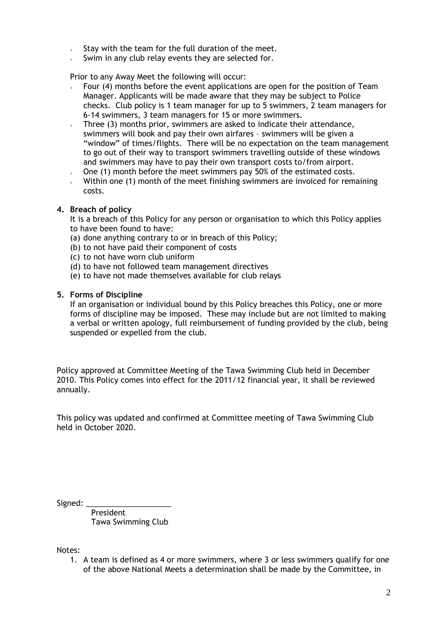- Stay with the team for the full duration of the meet.
- Swim in any club relay events they are selected for.

Prior to any Away Meet the following will occur:

- Four (4) months before the event applications are open for the position of Team Manager. Applicants will be made aware that they may be subject to Police checks. Club policy is 1 team manager for up to 5 swimmers, 2 team managers for 6-14 swimmers, 3 team managers for 15 or more swimmers.
- Three (3) months prior, swimmers are asked to indicate their attendance, swimmers will book and pay their own airfares – swimmers will be given a "window" of times/flights. There will be no expectation on the team management to go out of their way to transport swimmers travelling outside of these windows and swimmers may have to pay their own transport costs to/from airport.
- One (1) month before the meet swimmers pay 50% of the estimated costs.
- Within one (1) month of the meet finishing swimmers are invoiced for remaining costs.

#### **4. Breach of policy**

It is a breach of this Policy for any person or organisation to which this Policy applies to have been found to have:

- (a) done anything contrary to or in breach of this Policy;
- (b) to not have paid their component of costs
- (c) to not have worn club uniform
- (d) to have not followed team management directives
- (e) to have not made themselves available for club relays

#### **5. Forms of Discipline**

If an organisation or individual bound by this Policy breaches this Policy, one or more forms of discipline may be imposed. These may include but are not limited to making a verbal or written apology, full reimbursement of funding provided by the club, being suspended or expelled from the club.

Policy approved at Committee Meeting of the Tawa Swimming Club held in December 2010. This Policy comes into effect for the 2011/12 financial year, it shall be reviewed annually.

This policy was updated and confirmed at Committee meeting of Tawa Swimming Club held in October 2020.

Signed:

 President Tawa Swimming Club

Notes:

1. A team is defined as 4 or more swimmers, where 3 or less swimmers qualify for one of the above National Meets a determination shall be made by the Committee, in